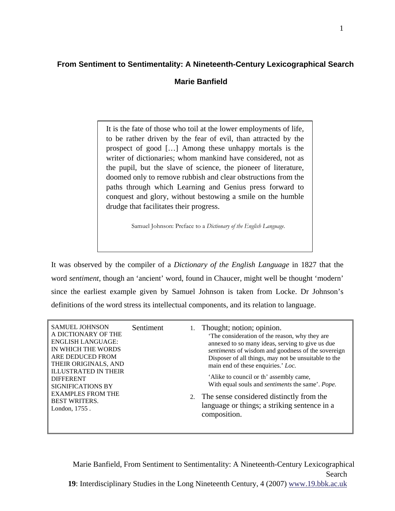## **From Sentiment to Sentimentality: A Nineteenth-Century Lexicographical Search**

## **Marie Banfield**

It is the fate of those who toil at the lower employments of life, to be rather driven by the fear of evil, than attracted by the prospect of good […] Among these unhappy mortals is the writer of dictionaries; whom mankind have considered, not as the pupil, but the slave of science, the pioneer of literature, doomed only to remove rubbish and clear obstructions from the paths through which Learning and Genius press forward to conquest and glory, without bestowing a smile on the humble drudge that facilitates their progress.

Samuel Johnson: Preface to a *Dictionary of the English Language*.

It was observed by the compiler of a *Dictionary of the English Language* in 1827 that the word *sentiment*, though an 'ancient' word, found in Chaucer, might well be thought 'modern' since the earliest example given by Samuel Johnson is taken from Locke. Dr Johnson's definitions of the word stress its intellectual components, and its relation to language.

| <b>SIGNIFICATIONS BY</b><br><b>EXAMPLES FROM THE</b><br>2. The sense considered distinctly from the<br><b>BEST WRITERS.</b><br>language or things; a striking sentence in a<br>London, 1755.<br>composition. |
|--------------------------------------------------------------------------------------------------------------------------------------------------------------------------------------------------------------|
|--------------------------------------------------------------------------------------------------------------------------------------------------------------------------------------------------------------|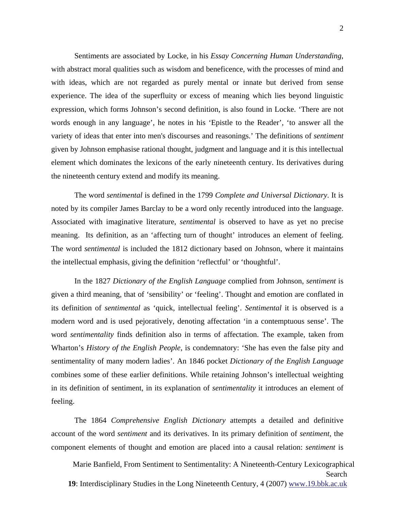Sentiments are associated by Locke, in his *Essay Concerning Human Understanding*, with abstract moral qualities such as wisdom and beneficence, with the processes of mind and with ideas, which are not regarded as purely mental or innate but derived from sense experience. The idea of the superfluity or excess of meaning which lies beyond linguistic expression, which forms Johnson's second definition, is also found in Locke. 'There are not words enough in any language', he notes in his 'Epistle to the Reader', 'to answer all the variety of ideas that enter into men's discourses and reasonings.' The definitions of *sentiment*  given by Johnson emphasise rational thought, judgment and language and it is this intellectual element which dominates the lexicons of the early nineteenth century. Its derivatives during the nineteenth century extend and modify its meaning.

The word *sentimental* is defined in the 1799 *Complete and Universal Dictionary*. It is noted by its compiler James Barclay to be a word only recently introduced into the language. Associated with imaginative literature, *sentimental* is observed to have as yet no precise meaning. Its definition, as an 'affecting turn of thought' introduces an element of feeling. The word *sentimental* is included the 1812 dictionary based on Johnson, where it maintains the intellectual emphasis, giving the definition 'reflectful' or 'thoughtful'.

In the 1827 *Dictionary of the English Language* complied from Johnson, *sentiment* is given a third meaning, that of 'sensibility' or 'feeling'. Thought and emotion are conflated in its definition of *sentimental* as 'quick, intellectual feeling'. *Sentimental* it is observed is a modern word and is used pejoratively, denoting affectation 'in a contemptuous sense'. The word *sentimentality* finds definition also in terms of affectation. The example, taken from Wharton's *History of the English People*, is condemnatory: 'She has even the false pity and sentimentality of many modern ladies'. An 1846 pocket *Dictionary of the English Language* combines some of these earlier definitions. While retaining Johnson's intellectual weighting in its definition of sentiment, in its explanation of *sentimentality* it introduces an element of feeling.

The 1864 *Comprehensive English Dictionary* attempts a detailed and definitive account of the word *sentiment* and its derivatives. In its primary definition of *sentiment*, the component elements of thought and emotion are placed into a causal relation: *sentiment* is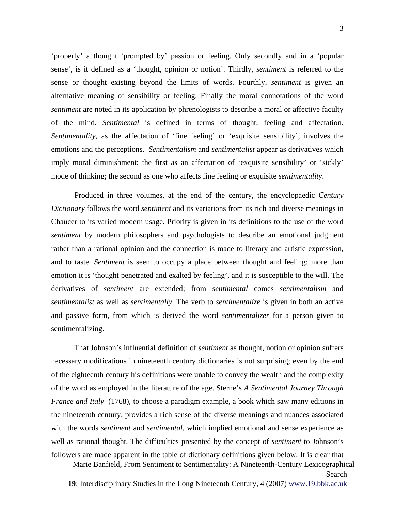'properly' a thought 'prompted by' passion or feeling. Only secondly and in a 'popular sense', is it defined as a 'thought, opinion or notion'. Thirdly, *sentiment* is referred to the sense or thought existing beyond the limits of words. Fourthly, *sentiment* is given an alternative meaning of sensibility or feeling. Finally the moral connotations of the word *sentiment* are noted in its application by phrenologists to describe a moral or affective faculty of the mind. *Sentimental* is defined in terms of thought, feeling and affectation. *Sentimentality*, as the affectation of 'fine feeling' or 'exquisite sensibility', involves the emotions and the perceptions. *Sentimentalism* and *sentimentalist* appear as derivatives which imply moral diminishment: the first as an affectation of 'exquisite sensibility' or 'sickly' mode of thinking; the second as one who affects fine feeling or exquisite *sentimentality*.

Produced in three volumes, at the end of the century, the encyclopaedic *Century Dictionary* follows the word *sentiment* and its variations from its rich and diverse meanings in Chaucer to its varied modern usage. Priority is given in its definitions to the use of the word *sentiment* by modern philosophers and psychologists to describe an emotional judgment rather than a rational opinion and the connection is made to literary and artistic expression, and to taste. *Sentiment* is seen to occupy a place between thought and feeling; more than emotion it is 'thought penetrated and exalted by feeling', and it is susceptible to the will. The derivatives of *sentiment* are extended; from *sentimental* comes *sentimentalism* and *sentimentalist* as well as *sentimentally*. The verb to *sentimentalize* is given in both an active and passive form, from which is derived the word *sentimentalizer* for a person given to sentimentalizing.

That Johnson's influential definition of *sentiment* as thought, notion or opinion suffers necessary modifications in nineteenth century dictionaries is not surprising; even by the end of the eighteenth century his definitions were unable to convey the wealth and the complexity of the word as employed in the literature of the age. Sterne's *A Sentimental Journey Through France and Italy* (1768), to choose a paradigm example, a book which saw many editions in the nineteenth century, provides a rich sense of the diverse meanings and nuances associated with the words *sentiment* and *sentimental*, which implied emotional and sense experience as well as rational thought. The difficulties presented by the concept of *sentiment* to Johnson's followers are made apparent in the table of dictionary definitions given below. It is clear that

Marie Banfield, From Sentiment to Sentimentality: A Nineteenth-Century Lexicographical Search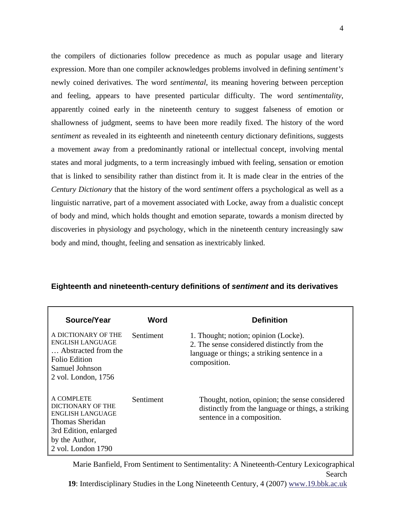the compilers of dictionaries follow precedence as much as popular usage and literary expression. More than one compiler acknowledges problems involved in defining *sentiment's* newly coined derivatives. The word *sentimental*, its meaning hovering between perception and feeling, appears to have presented particular difficulty. The word *sentimentality*, apparently coined early in the nineteenth century to suggest falseness of emotion or shallowness of judgment, seems to have been more readily fixed. The history of the word *sentiment* as revealed in its eighteenth and nineteenth century dictionary definitions, suggests a movement away from a predominantly rational or intellectual concept, involving mental states and moral judgments, to a term increasingly imbued with feeling, sensation or emotion that is linked to sensibility rather than distinct from it. It is made clear in the entries of the *Century Dictionary* that the history of the word *sentiment* offers a psychological as well as a linguistic narrative, part of a movement associated with Locke, away from a dualistic concept of body and mind, which holds thought and emotion separate, towards a monism directed by discoveries in physiology and psychology, which in the nineteenth century increasingly saw body and mind, thought, feeling and sensation as inextricably linked.

| Source/Year                                                                                                                                    | Word      | <b>Definition</b>                                                                                                                                   |
|------------------------------------------------------------------------------------------------------------------------------------------------|-----------|-----------------------------------------------------------------------------------------------------------------------------------------------------|
| A DICTIONARY OF THE<br>ENGLISH LANGUAGE<br>Abstracted from the<br><b>Folio Edition</b><br>Samuel Johnson<br>2 vol. London, 1756                | Sentiment | 1. Thought; notion; opinion (Locke).<br>2. The sense considered distinctly from the<br>language or things; a striking sentence in a<br>composition. |
| A COMPLETE<br>DICTIONARY OF THE<br><b>ENGLISH LANGUAGE</b><br>Thomas Sheridan<br>3rd Edition, enlarged<br>by the Author,<br>2 vol. London 1790 | Sentiment | Thought, notion, opinion; the sense considered<br>distinctly from the language or things, a striking<br>sentence in a composition.                  |

## **Eighteenth and nineteenth-century definitions of** *sentiment* **and its derivatives**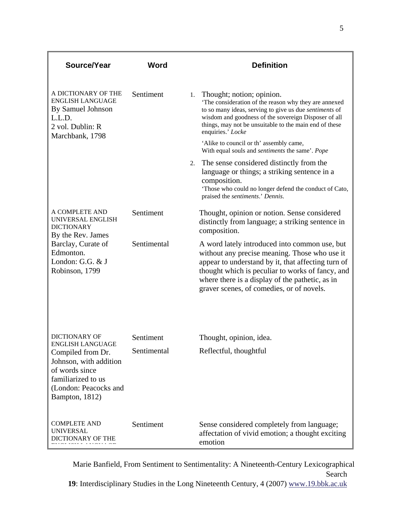| Source/Year                                                                                                                                               | Word        | <b>Definition</b>                                                                                                                                                                                                                                                                                        |
|-----------------------------------------------------------------------------------------------------------------------------------------------------------|-------------|----------------------------------------------------------------------------------------------------------------------------------------------------------------------------------------------------------------------------------------------------------------------------------------------------------|
| A DICTIONARY OF THE<br><b>ENGLISH LANGUAGE</b><br>By Samuel Johnson<br>L.L.D.<br>2 vol. Dublin: R<br>Marchbank, 1798                                      | Sentiment   | Thought; notion; opinion.<br>1.<br>'The consideration of the reason why they are annexed<br>to so many ideas, serving to give us due sentiments of<br>wisdom and goodness of the sovereign Disposer of all<br>things, may not be unsuitable to the main end of these<br>enquiries.' Locke                |
|                                                                                                                                                           |             | 'Alike to council or th' assembly came,<br>With equal souls and <i>sentiments</i> the same'. Pope                                                                                                                                                                                                        |
|                                                                                                                                                           |             | The sense considered distinctly from the<br>2.<br>language or things; a striking sentence in a<br>composition.<br>'Those who could no longer defend the conduct of Cato,<br>praised the sentiments.' Dennis.                                                                                             |
| A COMPLETE AND<br>UNIVERSAL ENGLISH<br><b>DICTIONARY</b><br>By the Rev. James                                                                             | Sentiment   | Thought, opinion or notion. Sense considered<br>distinctly from language; a striking sentence in<br>composition.                                                                                                                                                                                         |
| Barclay, Curate of<br>Edmonton.<br>London: G.G. & J<br>Robinson, 1799                                                                                     | Sentimental | A word lately introduced into common use, but<br>without any precise meaning. Those who use it<br>appear to understand by it, that affecting turn of<br>thought which is peculiar to works of fancy, and<br>where there is a display of the pathetic, as in<br>graver scenes, of comedies, or of novels. |
| <b>DICTIONARY OF</b>                                                                                                                                      | Sentiment   |                                                                                                                                                                                                                                                                                                          |
| <b>ENGLISH LANGUAGE</b><br>Compiled from Dr.<br>Johnson, with addition<br>of words since<br>familiarized to us<br>(London: Peacocks and<br>Bampton, 1812) | Sentimental | Thought, opinion, idea.<br>Reflectful, thoughtful                                                                                                                                                                                                                                                        |
| <b>COMPLETE AND</b><br><b>UNIVERSAL</b><br>DICTIONARY OF THE                                                                                              | Sentiment   | Sense considered completely from language;<br>affectation of vivid emotion; a thought exciting<br>emotion                                                                                                                                                                                                |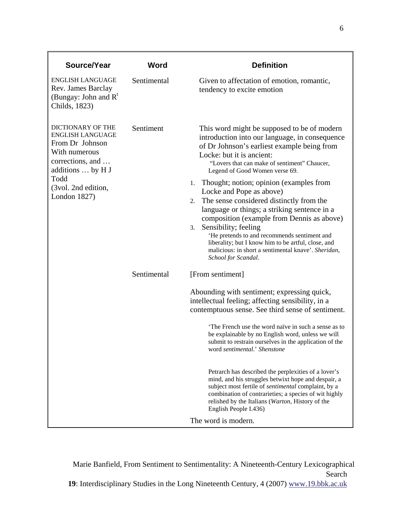| Source/Year                                                                                                                                              | Word        | <b>Definition</b>                                                                                                                                                                                                                                                                                                                                               |
|----------------------------------------------------------------------------------------------------------------------------------------------------------|-------------|-----------------------------------------------------------------------------------------------------------------------------------------------------------------------------------------------------------------------------------------------------------------------------------------------------------------------------------------------------------------|
| <b>ENGLISH LANGUAGE</b><br>Rev. James Barclay<br>(Bungay: John and $R^t$<br>Childs, 1823)                                                                | Sentimental | Given to affectation of emotion, romantic,<br>tendency to excite emotion                                                                                                                                                                                                                                                                                        |
| DICTIONARY OF THE<br><b>ENGLISH LANGUAGE</b><br>From Dr Johnson<br>With numerous<br>corrections, and<br>additions  by H J<br>Todd<br>(3vol. 2nd edition, | Sentiment   | This word might be supposed to be of modern<br>introduction into our language, in consequence<br>of Dr Johnson's earliest example being from<br>Locke: but it is ancient:<br>"Lovers that can make of sentiment" Chaucer,<br>Legend of Good Women verse 69.<br>Thought; notion; opinion (examples from<br>1.<br>Locke and Pope as above)                        |
| London $1827$ )                                                                                                                                          |             | The sense considered distinctly from the<br>2.<br>language or things; a striking sentence in a<br>composition (example from Dennis as above)<br>Sensibility; feeling<br>3.<br>'He pretends to and recommends sentiment and<br>liberality; but I know him to be artful, close, and<br>malicious: in short a sentimental knave'. Sheridan,<br>School for Scandal. |
|                                                                                                                                                          | Sentimental | [From sentiment]                                                                                                                                                                                                                                                                                                                                                |
|                                                                                                                                                          |             | Abounding with sentiment; expressing quick,<br>intellectual feeling; affecting sensibility, in a<br>contemptuous sense. See third sense of sentiment.                                                                                                                                                                                                           |
|                                                                                                                                                          |             | 'The French use the word naïve in such a sense as to<br>be explainable by no English word, unless we will<br>submit to restrain ourselves in the application of the<br>word sentimental.' Shenstone                                                                                                                                                             |
|                                                                                                                                                          |             | Petrarch has described the perplexities of a lover's<br>mind, and his struggles betwixt hope and despair, a<br>subject most fertile of <i>sentimental</i> complaint, by a<br>combination of contrarieties; a species of wit highly<br>relished by the Italians (Warton, History of the<br>English People I.436)                                                 |
|                                                                                                                                                          |             | The word is modern.                                                                                                                                                                                                                                                                                                                                             |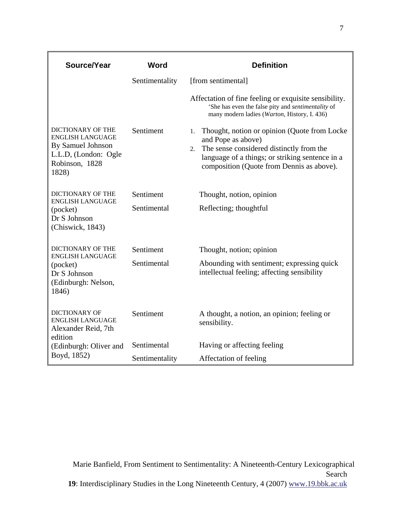| Source/Year                                                                                                                 | Word           | <b>Definition</b>                                                                                                                                                                                                           |
|-----------------------------------------------------------------------------------------------------------------------------|----------------|-----------------------------------------------------------------------------------------------------------------------------------------------------------------------------------------------------------------------------|
|                                                                                                                             | Sentimentality | [from sentimental]                                                                                                                                                                                                          |
|                                                                                                                             |                | Affectation of fine feeling or exquisite sensibility.<br>'She has even the false pity and sentimentality of<br>many modern ladies (Warton, History, I. 436)                                                                 |
| <b>DICTIONARY OF THE</b><br><b>ENGLISH LANGUAGE</b><br>By Samuel Johnson<br>L.L.D, (London: Ogle<br>Robinson, 1828<br>1828) | Sentiment      | Thought, notion or opinion (Quote from Locke)<br>1.<br>and Pope as above)<br>The sense considered distinctly from the<br>2.<br>language of a things; or striking sentence in a<br>composition (Quote from Dennis as above). |
| <b>DICTIONARY OF THE</b>                                                                                                    | Sentiment      | Thought, notion, opinion                                                                                                                                                                                                    |
| <b>ENGLISH LANGUAGE</b><br>(pocket)<br>Dr S Johnson<br>(Chiswick, 1843)                                                     | Sentimental    | Reflecting; thoughtful                                                                                                                                                                                                      |
| <b>DICTIONARY OF THE</b>                                                                                                    | Sentiment      | Thought, notion; opinion                                                                                                                                                                                                    |
| <b>ENGLISH LANGUAGE</b><br>(pocket)<br>Dr S Johnson<br>(Edinburgh: Nelson,<br>1846)                                         | Sentimental    | Abounding with sentiment; expressing quick<br>intellectual feeling; affecting sensibility                                                                                                                                   |
| DICTIONARY OF<br><b>ENGLISH LANGUAGE</b><br>Alexander Reid, 7th<br>edition                                                  | Sentiment      | A thought, a notion, an opinion; feeling or<br>sensibility.                                                                                                                                                                 |
| (Edinburgh: Oliver and                                                                                                      | Sentimental    | Having or affecting feeling                                                                                                                                                                                                 |
| Boyd, 1852)                                                                                                                 | Sentimentality | Affectation of feeling                                                                                                                                                                                                      |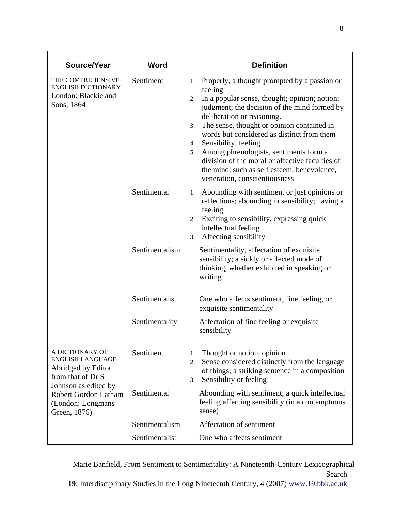| Source/Year                                                                                                   | Word           | <b>Definition</b>                                                                                                                                                                                                                                                                                                                                                                                                                                                                                               |
|---------------------------------------------------------------------------------------------------------------|----------------|-----------------------------------------------------------------------------------------------------------------------------------------------------------------------------------------------------------------------------------------------------------------------------------------------------------------------------------------------------------------------------------------------------------------------------------------------------------------------------------------------------------------|
| THE COMPREHENSIVE<br><b>ENGLISH DICTIONARY</b><br>London: Blackie and<br>Sons, 1864                           | Sentiment      | 1. Properly, a thought prompted by a passion or<br>feeling<br>In a popular sense, thought; opinion; notion;<br>2.<br>judgment; the decision of the mind formed by<br>deliberation or reasoning.<br>The sense, thought or opinion contained in<br>3.<br>words but considered as distinct from them<br>4. Sensibility, feeling<br>Among phrenologists, sentiments form a<br>5.<br>division of the moral or affective faculties of<br>the mind, such as self esteem, benevolence,<br>veneration, conscientiousness |
|                                                                                                               | Sentimental    | Abounding with sentiment or just opinions or<br>1.<br>reflections; abounding in sensibility; having a<br>feeling<br>Exciting to sensibility, expressing quick<br>2.<br>intellectual feeling<br>Affecting sensibility<br>3.                                                                                                                                                                                                                                                                                      |
|                                                                                                               | Sentimentalism | Sentimentality, affectation of exquisite<br>sensibility; a sickly or affected mode of<br>thinking, whether exhibited in speaking or<br>writing                                                                                                                                                                                                                                                                                                                                                                  |
|                                                                                                               | Sentimentalist | One who affects sentiment, fine feeling, or<br>exquisite sentimentality                                                                                                                                                                                                                                                                                                                                                                                                                                         |
|                                                                                                               | Sentimentality | Affectation of fine feeling or exquisite.<br>sensibility                                                                                                                                                                                                                                                                                                                                                                                                                                                        |
| A DICTIONARY OF<br><b>ENGLISH LANGUAGE</b><br>Abridged by Editor<br>from that of Dr S<br>Johnson as edited by | Sentiment      | Thought or notion, opinion<br>1.<br>Sense considered distinctly from the language<br>2.<br>of things; a striking sentence in a composition<br>Sensibility or feeling<br>3.                                                                                                                                                                                                                                                                                                                                      |
| Robert Gordon Latham<br>(London: Longmans<br>Green, 1876)                                                     | Sentimental    | Abounding with sentiment; a quick intellectual<br>feeling affecting sensibility (in a contemptuous<br>sense)                                                                                                                                                                                                                                                                                                                                                                                                    |
|                                                                                                               | Sentimentalism | Affectation of sentiment                                                                                                                                                                                                                                                                                                                                                                                                                                                                                        |
|                                                                                                               | Sentimentalist | One who affects sentiment                                                                                                                                                                                                                                                                                                                                                                                                                                                                                       |

Marie Banfield, From Sentiment to Sentimentality: A Nineteenth-Century Lexicographical Search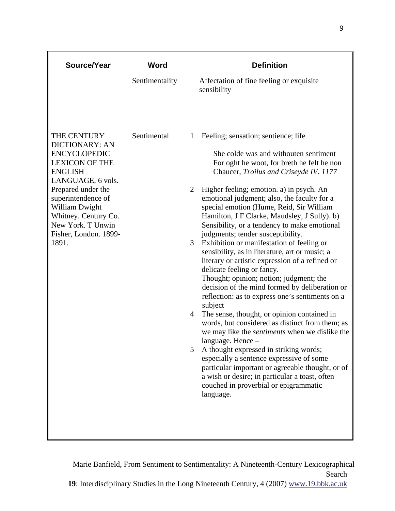| Source/Year                                                                                                                                                                                                                                                              | Word           | <b>Definition</b>                                                                                                                                                                                                                                                                                                                                                                                                                                                                                                                                                                                                                                                                                                                                                                                                                                                                                                                                                                                                                                                                                                                                                                                                                                                              |
|--------------------------------------------------------------------------------------------------------------------------------------------------------------------------------------------------------------------------------------------------------------------------|----------------|--------------------------------------------------------------------------------------------------------------------------------------------------------------------------------------------------------------------------------------------------------------------------------------------------------------------------------------------------------------------------------------------------------------------------------------------------------------------------------------------------------------------------------------------------------------------------------------------------------------------------------------------------------------------------------------------------------------------------------------------------------------------------------------------------------------------------------------------------------------------------------------------------------------------------------------------------------------------------------------------------------------------------------------------------------------------------------------------------------------------------------------------------------------------------------------------------------------------------------------------------------------------------------|
|                                                                                                                                                                                                                                                                          | Sentimentality | Affectation of fine feeling or exquisite<br>sensibility                                                                                                                                                                                                                                                                                                                                                                                                                                                                                                                                                                                                                                                                                                                                                                                                                                                                                                                                                                                                                                                                                                                                                                                                                        |
| THE CENTURY<br><b>DICTIONARY: AN</b><br><b>ENCYCLOPEDIC</b><br><b>LEXICON OF THE</b><br><b>ENGLISH</b><br>LANGUAGE, 6 vols.<br>Prepared under the<br>superintendence of<br>William Dwight<br>Whitney. Century Co.<br>New York. T Unwin<br>Fisher, London. 1899-<br>1891. | Sentimental    | Feeling; sensation; sentience; life<br>$\mathbf{1}$<br>She colde was and withouten sentiment<br>For oght he woot, for breth he felt he non<br>Chaucer, Troilus and Criseyde IV. 1177<br>Higher feeling; emotion. a) in psych. An<br>2<br>emotional judgment; also, the faculty for a<br>special emotion (Hume, Reid, Sir William<br>Hamilton, J F Clarke, Maudsley, J Sully). b)<br>Sensibility, or a tendency to make emotional<br>judgments; tender susceptibility.<br>3<br>Exhibition or manifestation of feeling or<br>sensibility, as in literature, art or music; a<br>literary or artistic expression of a refined or<br>delicate feeling or fancy.<br>Thought; opinion; notion; judgment; the<br>decision of the mind formed by deliberation or<br>reflection: as to express one's sentiments on a<br>subject<br>The sense, thought, or opinion contained in<br>$\overline{4}$<br>words, but considered as distinct from them; as<br>we may like the <i>sentiments</i> when we dislike the<br>language. Hence -<br>A thought expressed in striking words;<br>5<br>especially a sentence expressive of some<br>particular important or agreeable thought, or of<br>a wish or desire; in particular a toast, often<br>couched in proverbial or epigrammatic<br>language. |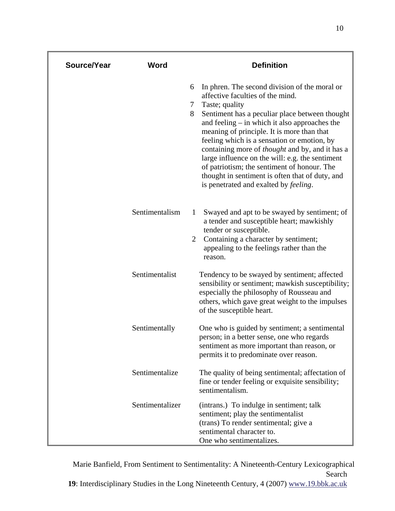| Source/Year | Word            |                           | <b>Definition</b>                                                                                                                                                                                                                                                                                                                                                                                                                                                                                                                                             |
|-------------|-----------------|---------------------------|---------------------------------------------------------------------------------------------------------------------------------------------------------------------------------------------------------------------------------------------------------------------------------------------------------------------------------------------------------------------------------------------------------------------------------------------------------------------------------------------------------------------------------------------------------------|
|             |                 | 6<br>$7\phantom{.0}$<br>8 | In phren. The second division of the moral or<br>affective faculties of the mind.<br>Taste; quality<br>Sentiment has a peculiar place between thought<br>and feeling $-$ in which it also approaches the<br>meaning of principle. It is more than that<br>feeling which is a sensation or emotion, by<br>containing more of <i>thought</i> and by, and it has a<br>large influence on the will: e.g. the sentiment<br>of patriotism; the sentiment of honour. The<br>thought in sentiment is often that of duty, and<br>is penetrated and exalted by feeling. |
|             | Sentimentalism  | 1<br>2                    | Swayed and apt to be swayed by sentiment; of<br>a tender and susceptible heart; mawkishly<br>tender or susceptible.<br>Containing a character by sentiment;<br>appealing to the feelings rather than the<br>reason.                                                                                                                                                                                                                                                                                                                                           |
|             | Sentimentalist  |                           | Tendency to be swayed by sentiment; affected<br>sensibility or sentiment; mawkish susceptibility;<br>especially the philosophy of Rousseau and<br>others, which gave great weight to the impulses<br>of the susceptible heart.                                                                                                                                                                                                                                                                                                                                |
|             | Sentimentally   |                           | One who is guided by sentiment; a sentimental<br>person; in a better sense, one who regards<br>sentiment as more important than reason, or<br>permits it to predominate over reason.                                                                                                                                                                                                                                                                                                                                                                          |
|             | Sentimentalize  |                           | The quality of being sentimental; affectation of<br>fine or tender feeling or exquisite sensibility;<br>sentimentalism.                                                                                                                                                                                                                                                                                                                                                                                                                                       |
|             | Sentimentalizer |                           | (intrans.) To indulge in sentiment; talk<br>sentiment; play the sentimentalist<br>(trans) To render sentimental; give a<br>sentimental character to.<br>One who sentimentalizes.                                                                                                                                                                                                                                                                                                                                                                              |